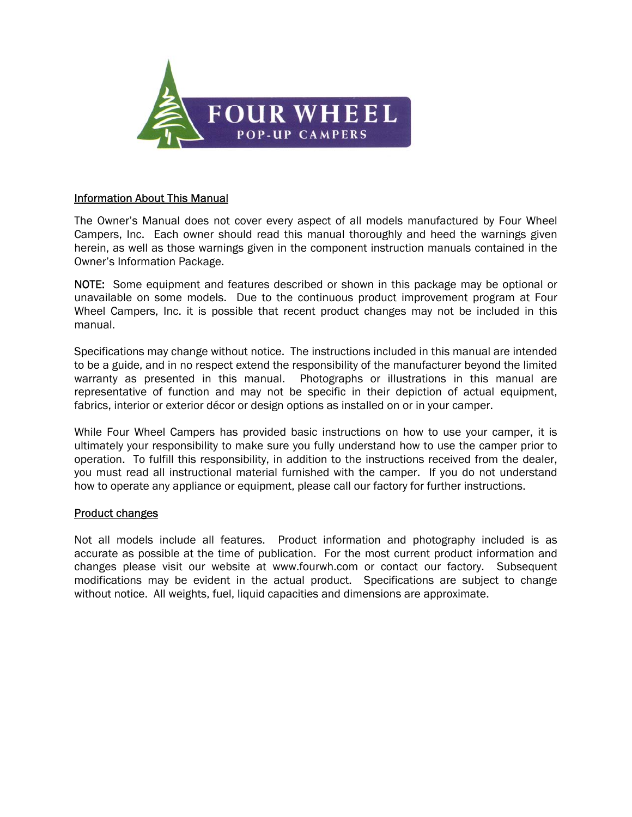

#### Information About This Manual

The Owner's Manual does not cover every aspect of all models manufactured by Four Wheel Campers, Inc. Each owner should read this manual thoroughly and heed the warnings given herein, as well as those warnings given in the component instruction manuals contained in the Owner's Information Package.

NOTE: Some equipment and features described or shown in this package may be optional or unavailable on some models. Due to the continuous product improvement program at Four Wheel Campers, Inc. it is possible that recent product changes may not be included in this manual.

Specifications may change without notice. The instructions included in this manual are intended to be a guide, and in no respect extend the responsibility of the manufacturer beyond the limited warranty as presented in this manual. Photographs or illustrations in this manual are representative of function and may not be specific in their depiction of actual equipment, fabrics, interior or exterior décor or design options as installed on or in your camper.

While Four Wheel Campers has provided basic instructions on how to use your camper, it is ultimately your responsibility to make sure you fully understand how to use the camper prior to operation. To fulfill this responsibility, in addition to the instructions received from the dealer, you must read all instructional material furnished with the camper. If you do not understand how to operate any appliance or equipment, please call our factory for further instructions.

#### Product changes

Not all models include all features. Product information and photography included is as accurate as possible at the time of publication. For the most current product information and changes please visit our website at www.fourwh.com or contact our factory. Subsequent modifications may be evident in the actual product. Specifications are subject to change without notice. All weights, fuel, liquid capacities and dimensions are approximate.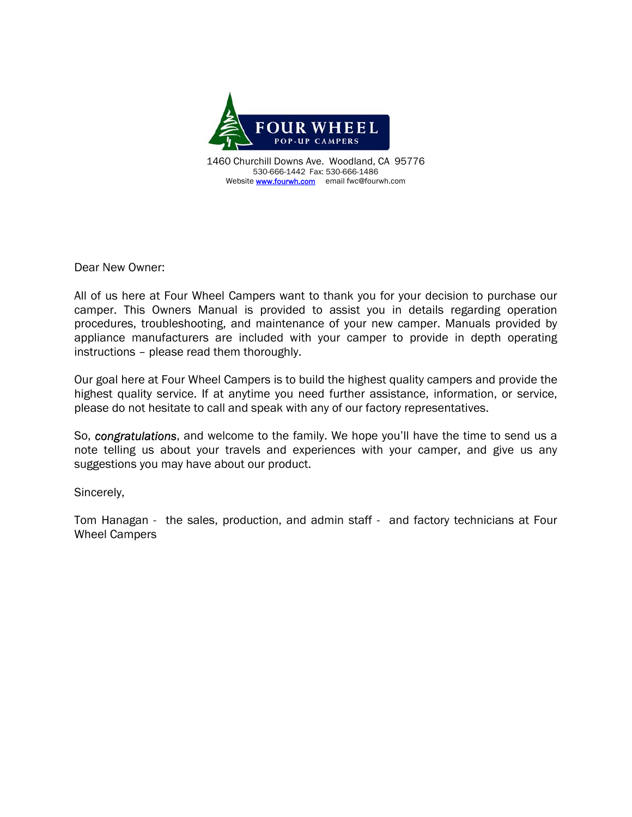

1460 Churchill Downs Ave. Woodland, CA 95776 530-666-1442 Fax: 530-666-1486 Website **www.fourwh.com** email fwc@fourwh.com

Dear New Owner:

All of us here at Four Wheel Campers want to thank you for your decision to purchase our camper. This Owners Manual is provided to assist you in details regarding operation procedures, troubleshooting, and maintenance of your new camper. Manuals provided by appliance manufacturers are included with your camper to provide in depth operating instructions – please read them thoroughly.

Our goal here at Four Wheel Campers is to build the highest quality campers and provide the highest quality service. If at anytime you need further assistance, information, or service, please do not hesitate to call and speak with any of our factory representatives.

So, *congratulations*, and welcome to the family. We hope you'll have the time to send us a note telling us about your travels and experiences with your camper, and give us any suggestions you may have about our product.

Sincerely,

Tom Hanagan - the sales, production, and admin staff - and factory technicians at Four Wheel Campers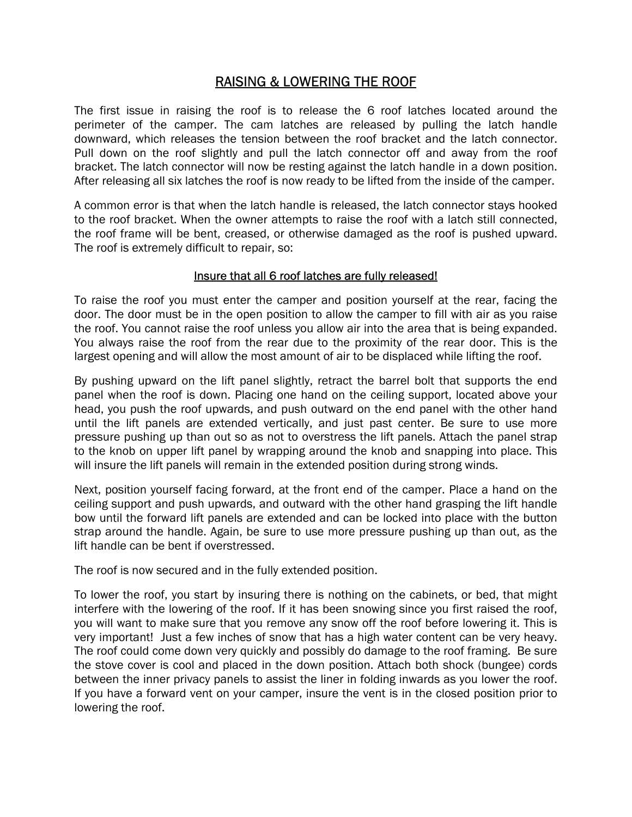# RAISING & LOWERING THE ROOF

The first issue in raising the roof is to release the 6 roof latches located around the perimeter of the camper. The cam latches are released by pulling the latch handle downward, which releases the tension between the roof bracket and the latch connector. Pull down on the roof slightly and pull the latch connector off and away from the roof bracket. The latch connector will now be resting against the latch handle in a down position. After releasing all six latches the roof is now ready to be lifted from the inside of the camper.

A common error is that when the latch handle is released, the latch connector stays hooked to the roof bracket. When the owner attempts to raise the roof with a latch still connected, the roof frame will be bent, creased, or otherwise damaged as the roof is pushed upward. The roof is extremely difficult to repair, so:

## Insure that all 6 roof latches are fully released!

To raise the roof you must enter the camper and position yourself at the rear, facing the door. The door must be in the open position to allow the camper to fill with air as you raise the roof. You cannot raise the roof unless you allow air into the area that is being expanded. You always raise the roof from the rear due to the proximity of the rear door. This is the largest opening and will allow the most amount of air to be displaced while lifting the roof.

By pushing upward on the lift panel slightly, retract the barrel bolt that supports the end panel when the roof is down. Placing one hand on the ceiling support, located above your head, you push the roof upwards, and push outward on the end panel with the other hand until the lift panels are extended vertically, and just past center. Be sure to use more pressure pushing up than out so as not to overstress the lift panels. Attach the panel strap to the knob on upper lift panel by wrapping around the knob and snapping into place. This will insure the lift panels will remain in the extended position during strong winds.

Next, position yourself facing forward, at the front end of the camper. Place a hand on the ceiling support and push upwards, and outward with the other hand grasping the lift handle bow until the forward lift panels are extended and can be locked into place with the button strap around the handle. Again, be sure to use more pressure pushing up than out, as the lift handle can be bent if overstressed.

The roof is now secured and in the fully extended position.

To lower the roof, you start by insuring there is nothing on the cabinets, or bed, that might interfere with the lowering of the roof. If it has been snowing since you first raised the roof, you will want to make sure that you remove any snow off the roof before lowering it. This is very important! Just a few inches of snow that has a high water content can be very heavy. The roof could come down very quickly and possibly do damage to the roof framing. Be sure the stove cover is cool and placed in the down position. Attach both shock (bungee) cords between the inner privacy panels to assist the liner in folding inwards as you lower the roof. If you have a forward vent on your camper, insure the vent is in the closed position prior to lowering the roof.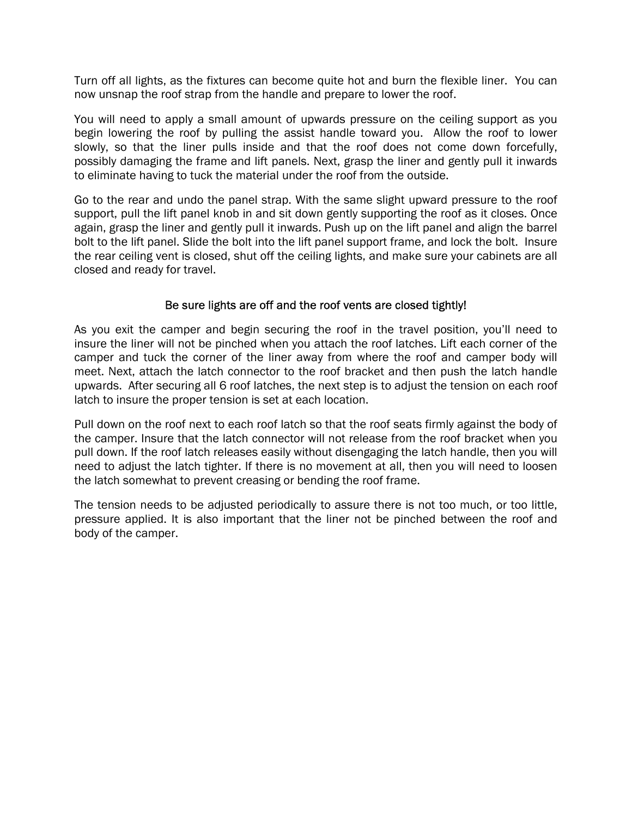Turn off all lights, as the fixtures can become quite hot and burn the flexible liner. You can now unsnap the roof strap from the handle and prepare to lower the roof.

You will need to apply a small amount of upwards pressure on the ceiling support as you begin lowering the roof by pulling the assist handle toward you. Allow the roof to lower slowly, so that the liner pulls inside and that the roof does not come down forcefully, possibly damaging the frame and lift panels. Next, grasp the liner and gently pull it inwards to eliminate having to tuck the material under the roof from the outside.

Go to the rear and undo the panel strap. With the same slight upward pressure to the roof support, pull the lift panel knob in and sit down gently supporting the roof as it closes. Once again, grasp the liner and gently pull it inwards. Push up on the lift panel and align the barrel bolt to the lift panel. Slide the bolt into the lift panel support frame, and lock the bolt. Insure the rear ceiling vent is closed, shut off the ceiling lights, and make sure your cabinets are all closed and ready for travel.

### Be sure lights are off and the roof vents are closed tightly!

As you exit the camper and begin securing the roof in the travel position, you'll need to insure the liner will not be pinched when you attach the roof latches. Lift each corner of the camper and tuck the corner of the liner away from where the roof and camper body will meet. Next, attach the latch connector to the roof bracket and then push the latch handle upwards. After securing all 6 roof latches, the next step is to adjust the tension on each roof latch to insure the proper tension is set at each location.

Pull down on the roof next to each roof latch so that the roof seats firmly against the body of the camper. Insure that the latch connector will not release from the roof bracket when you pull down. If the roof latch releases easily without disengaging the latch handle, then you will need to adjust the latch tighter. If there is no movement at all, then you will need to loosen the latch somewhat to prevent creasing or bending the roof frame.

The tension needs to be adjusted periodically to assure there is not too much, or too little, pressure applied. It is also important that the liner not be pinched between the roof and body of the camper.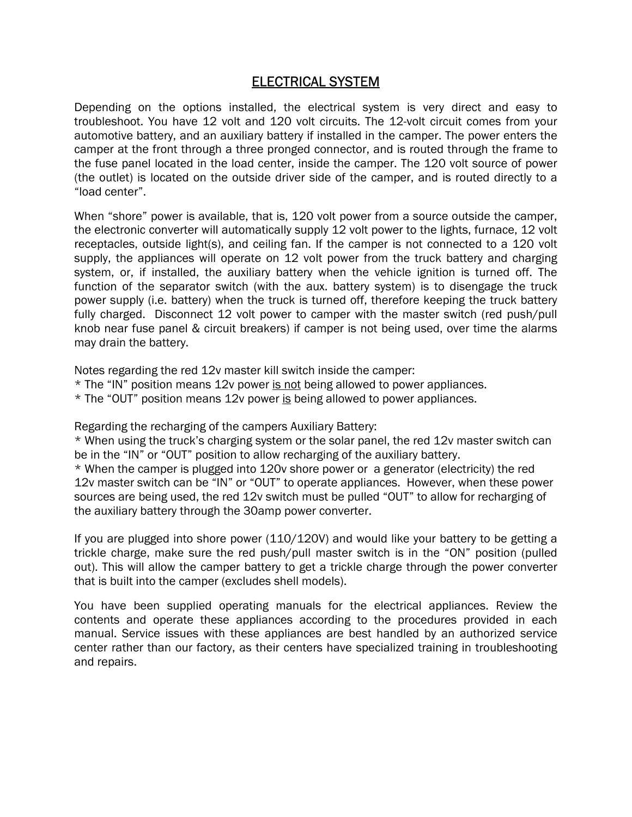# ELECTRICAL SYSTEM

Depending on the options installed, the electrical system is very direct and easy to troubleshoot. You have 12 volt and 120 volt circuits. The 12-volt circuit comes from your automotive battery, and an auxiliary battery if installed in the camper. The power enters the camper at the front through a three pronged connector, and is routed through the frame to the fuse panel located in the load center, inside the camper. The 120 volt source of power (the outlet) is located on the outside driver side of the camper, and is routed directly to a "load center".

When "shore" power is available, that is, 120 volt power from a source outside the camper, the electronic converter will automatically supply 12 volt power to the lights, furnace, 12 volt receptacles, outside light(s), and ceiling fan. If the camper is not connected to a 120 volt supply, the appliances will operate on 12 volt power from the truck battery and charging system, or, if installed, the auxiliary battery when the vehicle ignition is turned off. The function of the separator switch (with the aux. battery system) is to disengage the truck power supply (i.e. battery) when the truck is turned off, therefore keeping the truck battery fully charged. Disconnect 12 volt power to camper with the master switch (red push/pull knob near fuse panel & circuit breakers) if camper is not being used, over time the alarms may drain the battery.

Notes regarding the red 12v master kill switch inside the camper:

- \* The "IN" position means 12v power is not being allowed to power appliances.
- \* The "OUT" position means 12v power is being allowed to power appliances.

Regarding the recharging of the campers Auxiliary Battery:

\* When using the truck's charging system or the solar panel, the red 12v master switch can be in the "IN" or "OUT" position to allow recharging of the auxiliary battery.

\* When the camper is plugged into 120v shore power or a generator (electricity) the red 12v master switch can be "IN" or "OUT" to operate appliances. However, when these power sources are being used, the red 12v switch must be pulled "OUT" to allow for recharging of the auxiliary battery through the 30amp power converter.

If you are plugged into shore power (110/120V) and would like your battery to be getting a trickle charge, make sure the red push/pull master switch is in the "ON" position (pulled out). This will allow the camper battery to get a trickle charge through the power converter that is built into the camper (excludes shell models).

You have been supplied operating manuals for the electrical appliances. Review the contents and operate these appliances according to the procedures provided in each manual. Service issues with these appliances are best handled by an authorized service center rather than our factory, as their centers have specialized training in troubleshooting and repairs.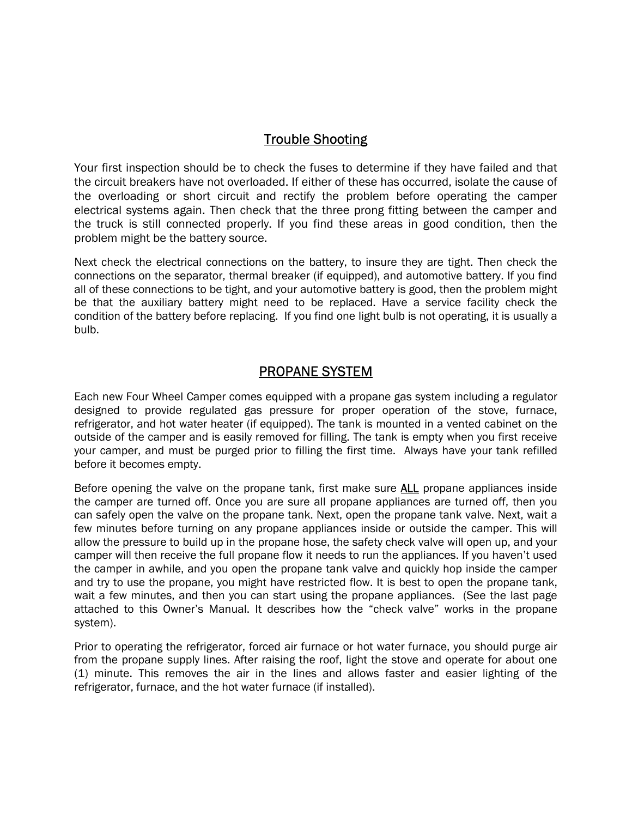# Trouble Shooting

Your first inspection should be to check the fuses to determine if they have failed and that the circuit breakers have not overloaded. If either of these has occurred, isolate the cause of the overloading or short circuit and rectify the problem before operating the camper electrical systems again. Then check that the three prong fitting between the camper and the truck is still connected properly. If you find these areas in good condition, then the problem might be the battery source.

Next check the electrical connections on the battery, to insure they are tight. Then check the connections on the separator, thermal breaker (if equipped), and automotive battery. If you find all of these connections to be tight, and your automotive battery is good, then the problem might be that the auxiliary battery might need to be replaced. Have a service facility check the condition of the battery before replacing. If you find one light bulb is not operating, it is usually a bulb.

# PROPANE SYSTEM

Each new Four Wheel Camper comes equipped with a propane gas system including a regulator designed to provide regulated gas pressure for proper operation of the stove, furnace, refrigerator, and hot water heater (if equipped). The tank is mounted in a vented cabinet on the outside of the camper and is easily removed for filling. The tank is empty when you first receive your camper, and must be purged prior to filling the first time. Always have your tank refilled before it becomes empty.

Before opening the valve on the propane tank, first make sure **ALL** propane appliances inside the camper are turned off. Once you are sure all propane appliances are turned off, then you can safely open the valve on the propane tank. Next, open the propane tank valve. Next, wait a few minutes before turning on any propane appliances inside or outside the camper. This will allow the pressure to build up in the propane hose, the safety check valve will open up, and your camper will then receive the full propane flow it needs to run the appliances. If you haven't used the camper in awhile, and you open the propane tank valve and quickly hop inside the camper and try to use the propane, you might have restricted flow. It is best to open the propane tank, wait a few minutes, and then you can start using the propane appliances. (See the last page attached to this Owner's Manual. It describes how the "check valve" works in the propane system).

Prior to operating the refrigerator, forced air furnace or hot water furnace, you should purge air from the propane supply lines. After raising the roof, light the stove and operate for about one (1) minute. This removes the air in the lines and allows faster and easier lighting of the refrigerator, furnace, and the hot water furnace (if installed).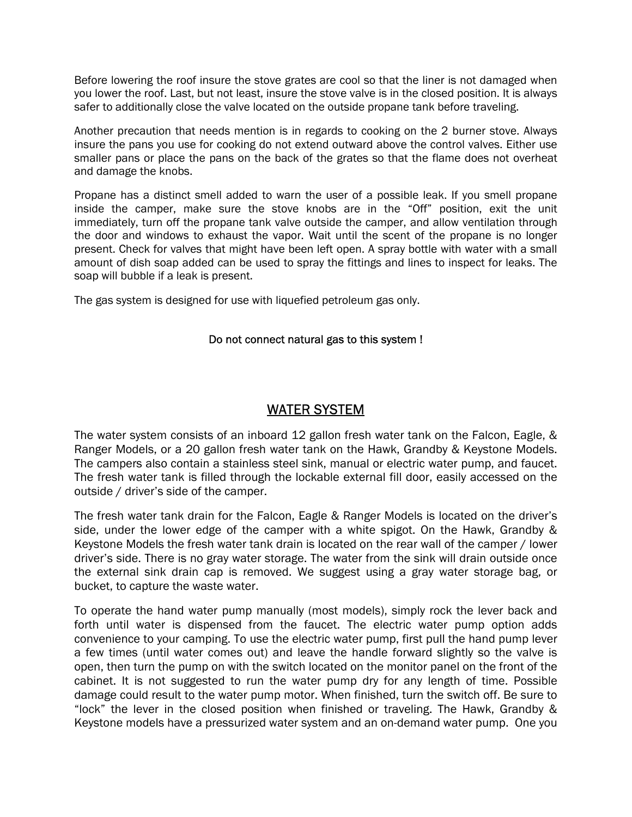Before lowering the roof insure the stove grates are cool so that the liner is not damaged when you lower the roof. Last, but not least, insure the stove valve is in the closed position. It is always safer to additionally close the valve located on the outside propane tank before traveling.

Another precaution that needs mention is in regards to cooking on the 2 burner stove. Always insure the pans you use for cooking do not extend outward above the control valves. Either use smaller pans or place the pans on the back of the grates so that the flame does not overheat and damage the knobs.

Propane has a distinct smell added to warn the user of a possible leak. If you smell propane inside the camper, make sure the stove knobs are in the "Off" position, exit the unit immediately, turn off the propane tank valve outside the camper, and allow ventilation through the door and windows to exhaust the vapor. Wait until the scent of the propane is no longer present. Check for valves that might have been left open. A spray bottle with water with a small amount of dish soap added can be used to spray the fittings and lines to inspect for leaks. The soap will bubble if a leak is present.

The gas system is designed for use with liquefied petroleum gas only.

### Do not connect natural gas to this system !

# WATER SYSTEM

The water system consists of an inboard 12 gallon fresh water tank on the Falcon, Eagle, & Ranger Models, or a 20 gallon fresh water tank on the Hawk, Grandby & Keystone Models. The campers also contain a stainless steel sink, manual or electric water pump, and faucet. The fresh water tank is filled through the lockable external fill door, easily accessed on the outside / driver's side of the camper.

The fresh water tank drain for the Falcon, Eagle & Ranger Models is located on the driver's side, under the lower edge of the camper with a white spigot. On the Hawk, Grandby & Keystone Models the fresh water tank drain is located on the rear wall of the camper / lower driver's side. There is no gray water storage. The water from the sink will drain outside once the external sink drain cap is removed. We suggest using a gray water storage bag, or bucket, to capture the waste water.

To operate the hand water pump manually (most models), simply rock the lever back and forth until water is dispensed from the faucet. The electric water pump option adds convenience to your camping. To use the electric water pump, first pull the hand pump lever a few times (until water comes out) and leave the handle forward slightly so the valve is open, then turn the pump on with the switch located on the monitor panel on the front of the cabinet. It is not suggested to run the water pump dry for any length of time. Possible damage could result to the water pump motor. When finished, turn the switch off. Be sure to "lock" the lever in the closed position when finished or traveling. The Hawk, Grandby & Keystone models have a pressurized water system and an on-demand water pump. One you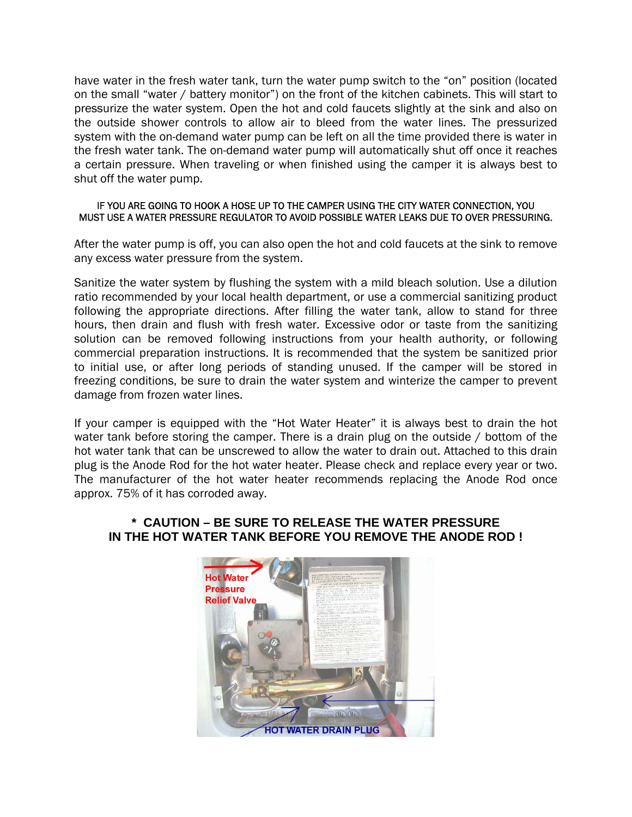have water in the fresh water tank, turn the water pump switch to the "on" position (located on the small "water / battery monitor") on the front of the kitchen cabinets. This will start to pressurize the water system. Open the hot and cold faucets slightly at the sink and also on the outside shower controls to allow air to bleed from the water lines. The pressurized system with the on-demand water pump can be left on all the time provided there is water in the fresh water tank. The on-demand water pump will automatically shut off once it reaches a certain pressure. When traveling or when finished using the camper it is always best to shut off the water pump.

#### IF YOU ARE GOING TO HOOK A HOSE UP TO THE CAMPER USING THE CITY WATER CONNECTION, YOU MUST USE A WATER PRESSURE REGULATOR TO AVOID POSSIBLE WATER LEAKS DUE TO OVER PRESSURING.

After the water pump is off, you can also open the hot and cold faucets at the sink to remove any excess water pressure from the system.

Sanitize the water system by flushing the system with a mild bleach solution. Use a dilution ratio recommended by your local health department, or use a commercial sanitizing product following the appropriate directions. After filling the water tank, allow to stand for three hours, then drain and flush with fresh water. Excessive odor or taste from the sanitizing solution can be removed following instructions from your health authority, or following commercial preparation instructions. It is recommended that the system be sanitized prior to initial use, or after long periods of standing unused. If the camper will be stored in freezing conditions, be sure to drain the water system and winterize the camper to prevent damage from frozen water lines.

If your camper is equipped with the "Hot Water Heater" it is always best to drain the hot water tank before storing the camper. There is a drain plug on the outside / bottom of the hot water tank that can be unscrewed to allow the water to drain out. Attached to this drain plug is the Anode Rod for the hot water heater. Please check and replace every year or two. The manufacturer of the hot water heater recommends replacing the Anode Rod once approx. 75% of it has corroded away.

### **\* CAUTION – BE SURE TO RELEASE THE WATER PRESSURE IN THE HOT WATER TANK BEFORE YOU REMOVE THE ANODE ROD !**

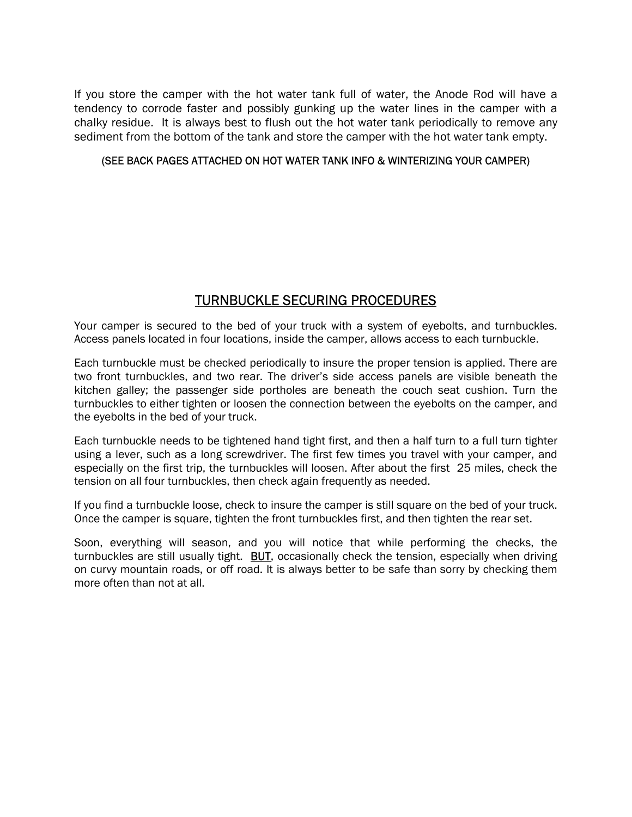If you store the camper with the hot water tank full of water, the Anode Rod will have a tendency to corrode faster and possibly gunking up the water lines in the camper with a chalky residue. It is always best to flush out the hot water tank periodically to remove any sediment from the bottom of the tank and store the camper with the hot water tank empty.

#### (SEE BACK PAGES ATTACHED ON HOT WATER TANK INFO & WINTERIZING YOUR CAMPER)

# TURNBUCKLE SECURING PROCEDURES

Your camper is secured to the bed of your truck with a system of eyebolts, and turnbuckles. Access panels located in four locations, inside the camper, allows access to each turnbuckle.

Each turnbuckle must be checked periodically to insure the proper tension is applied. There are two front turnbuckles, and two rear. The driver's side access panels are visible beneath the kitchen galley; the passenger side portholes are beneath the couch seat cushion. Turn the turnbuckles to either tighten or loosen the connection between the eyebolts on the camper, and the eyebolts in the bed of your truck.

Each turnbuckle needs to be tightened hand tight first, and then a half turn to a full turn tighter using a lever, such as a long screwdriver. The first few times you travel with your camper, and especially on the first trip, the turnbuckles will loosen. After about the first 25 miles, check the tension on all four turnbuckles, then check again frequently as needed.

If you find a turnbuckle loose, check to insure the camper is still square on the bed of your truck. Once the camper is square, tighten the front turnbuckles first, and then tighten the rear set.

Soon, everything will season, and you will notice that while performing the checks, the turnbuckles are still usually tight. **BUT**, occasionally check the tension, especially when driving on curvy mountain roads, or off road. It is always better to be safe than sorry by checking them more often than not at all.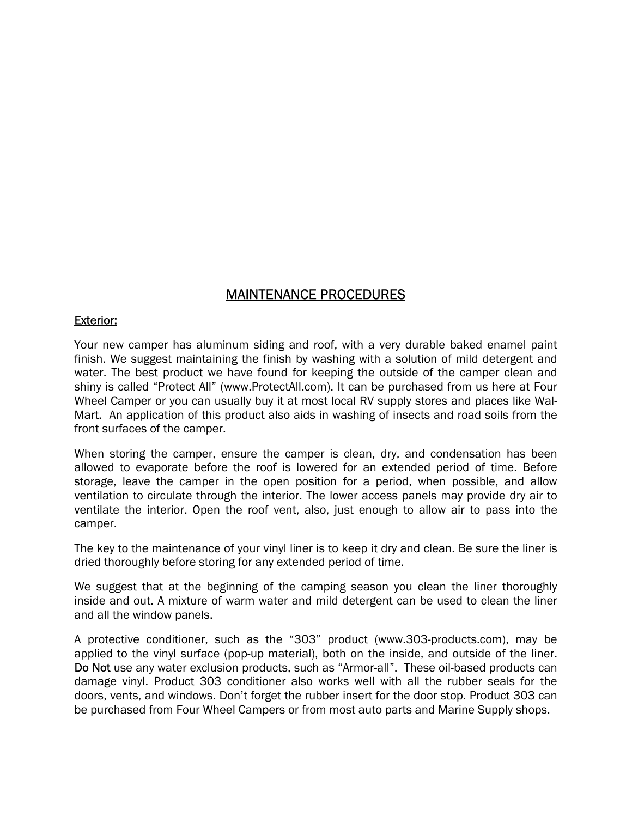# MAINTENANCE PROCEDURES

#### Exterior:

Your new camper has aluminum siding and roof, with a very durable baked enamel paint finish. We suggest maintaining the finish by washing with a solution of mild detergent and water. The best product we have found for keeping the outside of the camper clean and shiny is called "Protect All" (www.ProtectAll.com). It can be purchased from us here at Four Wheel Camper or you can usually buy it at most local RV supply stores and places like Wal-Mart. An application of this product also aids in washing of insects and road soils from the front surfaces of the camper.

When storing the camper, ensure the camper is clean, dry, and condensation has been allowed to evaporate before the roof is lowered for an extended period of time. Before storage, leave the camper in the open position for a period, when possible, and allow ventilation to circulate through the interior. The lower access panels may provide dry air to ventilate the interior. Open the roof vent, also, just enough to allow air to pass into the camper.

The key to the maintenance of your vinyl liner is to keep it dry and clean. Be sure the liner is dried thoroughly before storing for any extended period of time.

We suggest that at the beginning of the camping season you clean the liner thoroughly inside and out. A mixture of warm water and mild detergent can be used to clean the liner and all the window panels.

A protective conditioner, such as the "303" product (www.303-products.com), may be applied to the vinyl surface (pop-up material), both on the inside, and outside of the liner. Do Not use any water exclusion products, such as "Armor-all". These oil-based products can damage vinyl. Product 303 conditioner also works well with all the rubber seals for the doors, vents, and windows. Don't forget the rubber insert for the door stop. Product 303 can be purchased from Four Wheel Campers or from most auto parts and Marine Supply shops.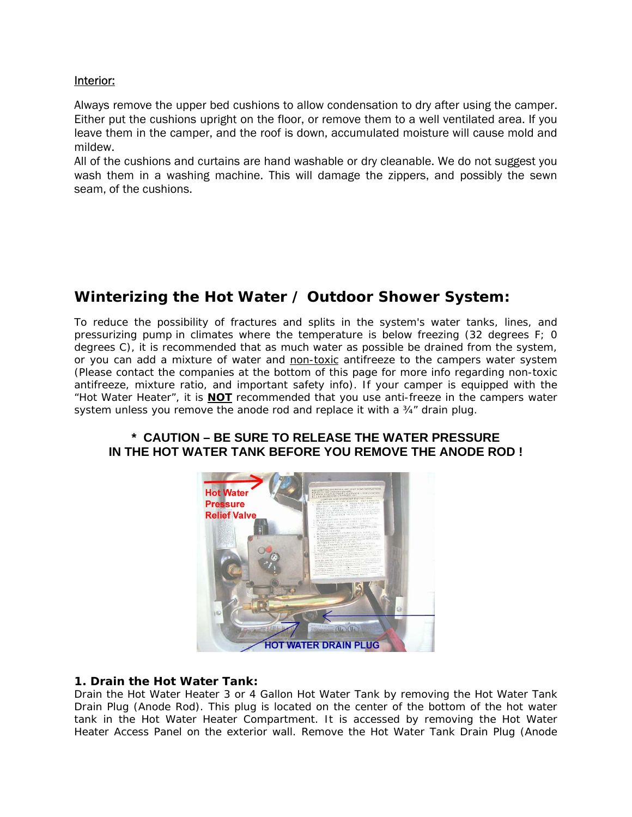#### Interior:

Always remove the upper bed cushions to allow condensation to dry after using the camper. Either put the cushions upright on the floor, or remove them to a well ventilated area. If you leave them in the camper, and the roof is down, accumulated moisture will cause mold and mildew.

All of the cushions and curtains are hand washable or dry cleanable. We do not suggest you wash them in a washing machine. This will damage the zippers, and possibly the sewn seam, of the cushions.

# **Winterizing the Hot Water / Outdoor Shower System:**

To reduce the possibility of fractures and splits in the system's water tanks, lines, and pressurizing pump in climates where the temperature is below freezing (32 degrees F; 0 degrees C), it is recommended that as much water as possible be drained from the system, or you can add a mixture of water and non-toxic antifreeze to the campers water system (Please contact the companies at the bottom of this page for more info regarding non-toxic antifreeze, mixture ratio, and important safety info). If your camper is equipped with the "Hot Water Heater", it is **NOT** recommended that you use anti-freeze in the campers water system unless you remove the anode rod and replace it with a ¾" drain plug.

### **\* CAUTION – BE SURE TO RELEASE THE WATER PRESSURE IN THE HOT WATER TANK BEFORE YOU REMOVE THE ANODE ROD !**



#### **1. Drain the Hot Water Tank:**

Drain the Hot Water Heater 3 or 4 Gallon Hot Water Tank by removing the Hot Water Tank Drain Plug (Anode Rod). This plug is located on the center of the bottom of the hot water tank in the Hot Water Heater Compartment. It is accessed by removing the Hot Water Heater Access Panel on the exterior wall. Remove the Hot Water Tank Drain Plug (Anode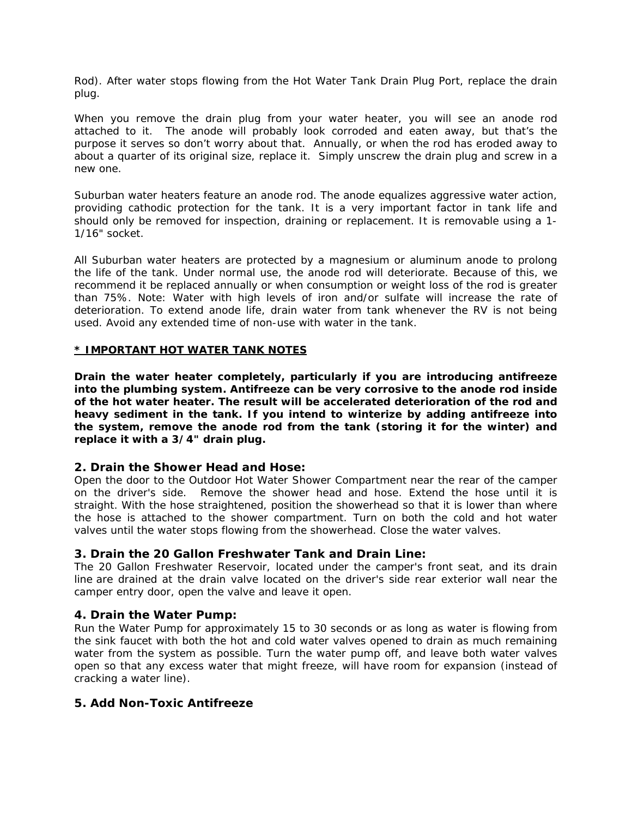Rod). After water stops flowing from the Hot Water Tank Drain Plug Port, replace the drain plug.

When you remove the drain plug from your water heater, you will see an anode rod attached to it. The anode will probably look corroded and eaten away, but that's the purpose it serves so don't worry about that. Annually, or when the rod has eroded away to about a quarter of its original size, replace it. Simply unscrew the drain plug and screw in a new one.

Suburban water heaters feature an anode rod. The anode equalizes aggressive water action, providing cathodic protection for the tank. It is a very important factor in tank life and should only be removed for inspection, draining or replacement. It is removable using a 1- 1/16" socket.

All Suburban water heaters are protected by a magnesium or aluminum anode to prolong the life of the tank. Under normal use, the anode rod will deteriorate. Because of this, we recommend it be replaced annually or when consumption or weight loss of the rod is greater than 75%. Note: Water with high levels of iron and/or sulfate will increase the rate of deterioration. To extend anode life, drain water from tank whenever the RV is not being used. Avoid any extended time of non-use with water in the tank.

#### **\* IMPORTANT HOT WATER TANK NOTES**

**Drain the water heater completely, particularly if you are introducing antifreeze into the plumbing system. Antifreeze can be very corrosive to the anode rod inside of the hot water heater. The result will be accelerated deterioration of the rod and heavy sediment in the tank. If you intend to winterize by adding antifreeze into the system, remove the anode rod from the tank (storing it for the winter) and replace it with a 3/4" drain plug.** 

#### **2. Drain the Shower Head and Hose:**

Open the door to the Outdoor Hot Water Shower Compartment near the rear of the camper on the driver's side. Remove the shower head and hose. Extend the hose until it is straight. With the hose straightened, position the showerhead so that it is lower than where the hose is attached to the shower compartment. Turn on both the cold and hot water valves until the water stops flowing from the showerhead. Close the water valves.

#### **3. Drain the 20 Gallon Freshwater Tank and Drain Line:**

The 20 Gallon Freshwater Reservoir, located under the camper's front seat, and its drain line are drained at the drain valve located on the driver's side rear exterior wall near the camper entry door, open the valve and leave it open.

#### **4. Drain the Water Pump:**

Run the Water Pump for approximately 15 to 30 seconds or as long as water is flowing from the sink faucet with both the hot and cold water valves opened to drain as much remaining water from the system as possible. Turn the water pump off, and leave both water valves open so that any excess water that might freeze, will have room for expansion (instead of cracking a water line).

#### **5. Add Non-Toxic Antifreeze**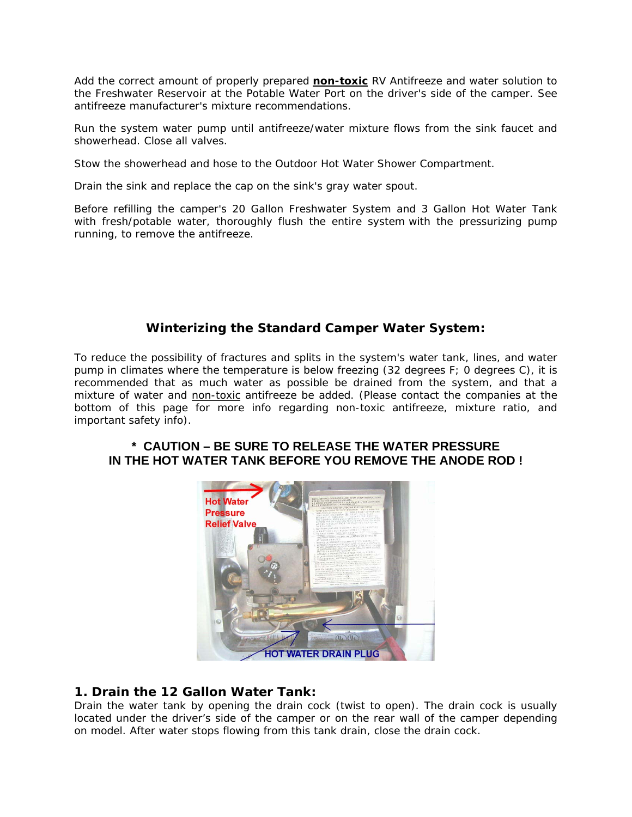Add the correct amount of properly prepared **non-toxic** RV Antifreeze and water solution to the Freshwater Reservoir at the Potable Water Port on the driver's side of the camper. See antifreeze manufacturer's mixture recommendations.

Run the system water pump until antifreeze/water mixture flows from the sink faucet and showerhead. Close all valves.

Stow the showerhead and hose to the Outdoor Hot Water Shower Compartment.

Drain the sink and replace the cap on the sink's gray water spout.

Before refilling the camper's 20 Gallon Freshwater System and 3 Gallon Hot Water Tank with fresh/potable water, thoroughly flush the entire system with the pressurizing pump running, to remove the antifreeze.

## **Winterizing the Standard Camper Water System:**

To reduce the possibility of fractures and splits in the system's water tank, lines, and water pump in climates where the temperature is below freezing (32 degrees F; 0 degrees C), it is recommended that as much water as possible be drained from the system, and that a mixture of water and non-toxic antifreeze be added. (Please contact the companies at the bottom of this page for more info regarding non-toxic antifreeze, mixture ratio, and important safety info).

### **\* CAUTION – BE SURE TO RELEASE THE WATER PRESSURE IN THE HOT WATER TANK BEFORE YOU REMOVE THE ANODE ROD !**



## **1. Drain the 12 Gallon Water Tank:**

Drain the water tank by opening the drain cock (twist to open). The drain cock is usually located under the driver's side of the camper or on the rear wall of the camper depending on model. After water stops flowing from this tank drain, close the drain cock.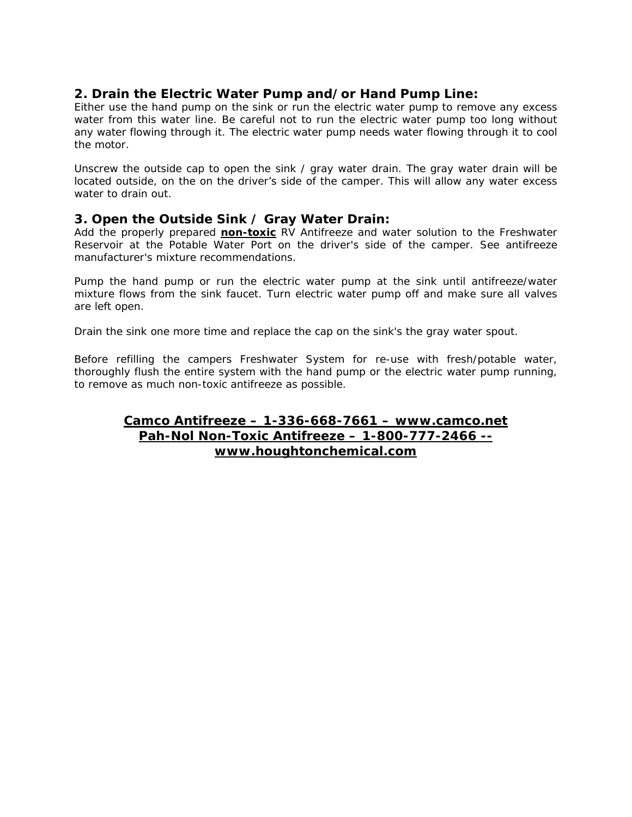## **2. Drain the Electric Water Pump and/or Hand Pump Line:**

Either use the hand pump on the sink or run the electric water pump to remove any excess water from this water line. Be careful not to run the electric water pump too long without any water flowing through it. The electric water pump needs water flowing through it to cool the motor.

Unscrew the outside cap to open the sink / gray water drain. The gray water drain will be located outside, on the on the driver's side of the camper. This will allow any water excess water to drain out.

### **3. Open the Outside Sink / Gray Water Drain:**

Add the properly prepared **non-toxic** RV Antifreeze and water solution to the Freshwater Reservoir at the Potable Water Port on the driver's side of the camper. See antifreeze manufacturer's mixture recommendations.

Pump the hand pump or run the electric water pump at the sink until antifreeze/water mixture flows from the sink faucet. Turn electric water pump off and make sure all valves are left open.

Drain the sink one more time and replace the cap on the sink's the gray water spout.

Before refilling the campers Freshwater System for re-use with fresh/potable water, thoroughly flush the entire system with the hand pump or the electric water pump running, to remove as much non-toxic antifreeze as possible.

## **Camco Antifreeze – 1-336-668-7661 – www.camco.net Pah-Nol Non-Toxic Antifreeze – 1-800-777-2466 - www.houghtonchemical.com**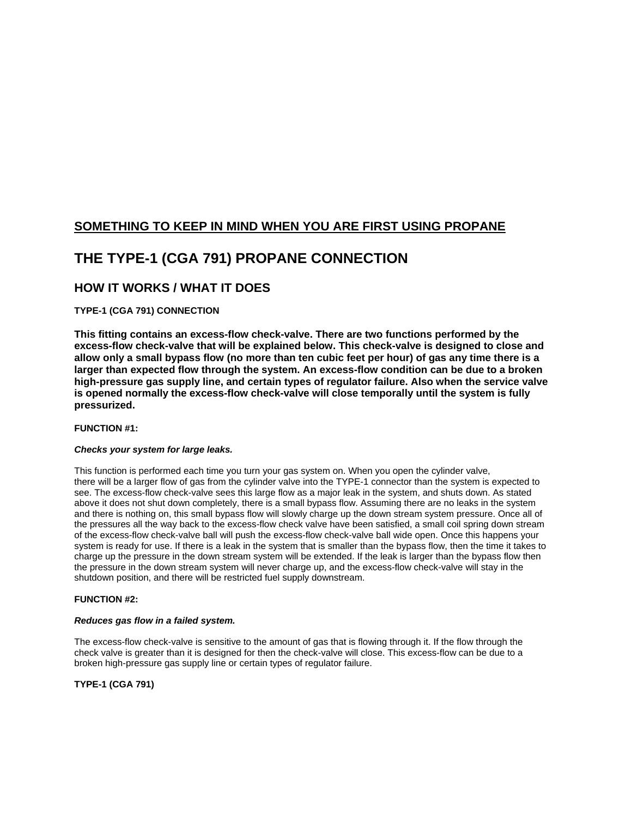## **SOMETHING TO KEEP IN MIND WHEN YOU ARE FIRST USING PROPANE**

# **THE TYPE-1 (CGA 791) PROPANE CONNECTION**

## **HOW IT WORKS / WHAT IT DOES**

#### **TYPE-1 (CGA 791) CONNECTION**

**This fitting contains an excess-flow check-valve. There are two functions performed by the excess-flow check-valve that will be explained below. This check-valve is designed to close and allow only a small bypass flow (no more than ten cubic feet per hour) of gas any time there is a larger than expected flow through the system. An excess-flow condition can be due to a broken high-pressure gas supply line, and certain types of regulator failure. Also when the service valve is opened normally the excess-flow check-valve will close temporally until the system is fully pressurized.** 

#### **FUNCTION #1:**

#### *Checks your system for large leaks.*

This function is performed each time you turn your gas system on. When you open the cylinder valve, there will be a larger flow of gas from the cylinder valve into the TYPE-1 connector than the system is expected to see. The excess-flow check-valve sees this large flow as a major leak in the system, and shuts down. As stated above it does not shut down completely, there is a small bypass flow. Assuming there are no leaks in the system and there is nothing on, this small bypass flow will slowly charge up the down stream system pressure. Once all of the pressures all the way back to the excess-flow check valve have been satisfied, a small coil spring down stream of the excess-flow check-valve ball will push the excess-flow check-valve ball wide open. Once this happens your system is ready for use. If there is a leak in the system that is smaller than the bypass flow, then the time it takes to charge up the pressure in the down stream system will be extended. If the leak is larger than the bypass flow then the pressure in the down stream system will never charge up, and the excess-flow check-valve will stay in the shutdown position, and there will be restricted fuel supply downstream.

#### **FUNCTION #2:**

#### *Reduces gas flow in a failed system.*

The excess-flow check-valve is sensitive to the amount of gas that is flowing through it. If the flow through the check valve is greater than it is designed for then the check-valve will close. This excess-flow can be due to a broken high-pressure gas supply line or certain types of regulator failure.

**TYPE-1 (CGA 791)**